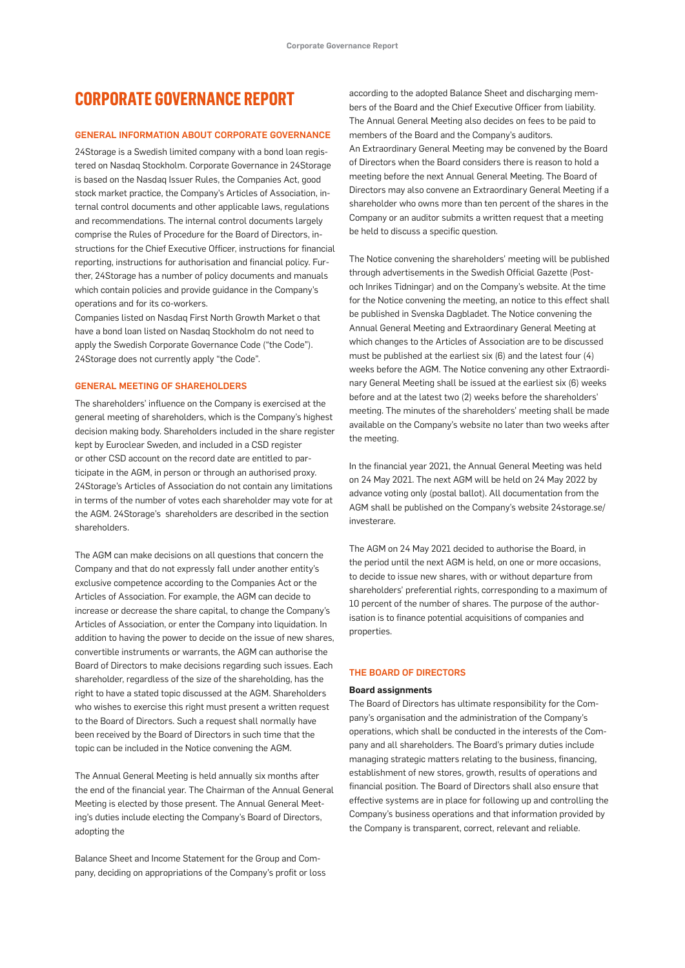## **CORPORATE GOVERNANCE REPORT**

#### GENERAL INFORMATION ABOUT CORPORATE GOVERNANCE

24Storage is a Swedish limited company with a bond loan registered on Nasdaq Stockholm. Corporate Governance in 24Storage is based on the Nasdaq Issuer Rules, the Companies Act, good stock market practice, the Company's Articles of Association, internal control documents and other applicable laws, regulations and recommendations. The internal control documents largely comprise the Rules of Procedure for the Board of Directors, instructions for the Chief Executive Officer, instructions for financial reporting, instructions for authorisation and financial policy. Further, 24Storage has a number of policy documents and manuals which contain policies and provide guidance in the Company's operations and for its co-workers.

Companies listed on Nasdaq First North Growth Market o that have a bond loan listed on Nasdaq Stockholm do not need to apply the Swedish Corporate Governance Code ("the Code"). 24Storage does not currently apply "the Code".

#### GENERAL MEETING OF SHAREHOLDERS

The shareholders' influence on the Company is exercised at the general meeting of shareholders, which is the Company's highest decision making body. Shareholders included in the share register kept by Euroclear Sweden, and included in a CSD register or other CSD account on the record date are entitled to participate in the AGM, in person or through an authorised proxy. 24Storage's Articles of Association do not contain any limitations in terms of the number of votes each shareholder may vote for at the AGM. 24Storage's shareholders are described in the section shareholders.

The AGM can make decisions on all questions that concern the Company and that do not expressly fall under another entity's exclusive competence according to the Companies Act or the Articles of Association. For example, the AGM can decide to increase or decrease the share capital, to change the Company's Articles of Association, or enter the Company into liquidation. In addition to having the power to decide on the issue of new shares, convertible instruments or warrants, the AGM can authorise the Board of Directors to make decisions regarding such issues. Each shareholder, regardless of the size of the shareholding, has the right to have a stated topic discussed at the AGM. Shareholders who wishes to exercise this right must present a written request to the Board of Directors. Such a request shall normally have been received by the Board of Directors in such time that the topic can be included in the Notice convening the AGM.

The Annual General Meeting is held annually six months after the end of the financial year. The Chairman of the Annual General Meeting is elected by those present. The Annual General Meeting's duties include electing the Company's Board of Directors, adopting the

Balance Sheet and Income Statement for the Group and Company, deciding on appropriations of the Company's profit or loss according to the adopted Balance Sheet and discharging members of the Board and the Chief Executive Officer from liability. The Annual General Meeting also decides on fees to be paid to members of the Board and the Company's auditors. An Extraordinary General Meeting may be convened by the Board of Directors when the Board considers there is reason to hold a meeting before the next Annual General Meeting. The Board of Directors may also convene an Extraordinary General Meeting if a shareholder who owns more than ten percent of the shares in the Company or an auditor submits a written request that a meeting be held to discuss a specific question.

The Notice convening the shareholders' meeting will be published through advertisements in the Swedish Official Gazette (Postoch Inrikes Tidningar) and on the Company's website. At the time for the Notice convening the meeting, an notice to this effect shall be published in Svenska Dagbladet. The Notice convening the Annual General Meeting and Extraordinary General Meeting at which changes to the Articles of Association are to be discussed must be published at the earliest six (6) and the latest four (4) weeks before the AGM. The Notice convening any other Extraordinary General Meeting shall be issued at the earliest six (6) weeks before and at the latest two (2) weeks before the shareholders' meeting. The minutes of the shareholders' meeting shall be made available on the Company's website no later than two weeks after the meeting.

In the financial year 2021, the Annual General Meeting was held on 24 May 2021. The next AGM will be held on 24 May 2022 by advance voting only (postal ballot). All documentation from the AGM shall be published on the Company's website 24storage.se/ investerare.

The AGM on 24 May 2021 decided to authorise the Board, in the period until the next AGM is held, on one or more occasions, to decide to issue new shares, with or without departure from shareholders' preferential rights, corresponding to a maximum of 10 percent of the number of shares. The purpose of the authorisation is to finance potential acquisitions of companies and properties.

### THE BOARD OF DIRECTORS

#### **Board assignments**

The Board of Directors has ultimate responsibility for the Company's organisation and the administration of the Company's operations, which shall be conducted in the interests of the Company and all shareholders. The Board's primary duties include managing strategic matters relating to the business, financing, establishment of new stores, growth, results of operations and financial position. The Board of Directors shall also ensure that effective systems are in place for following up and controlling the Company's business operations and that information provided by the Company is transparent, correct, relevant and reliable.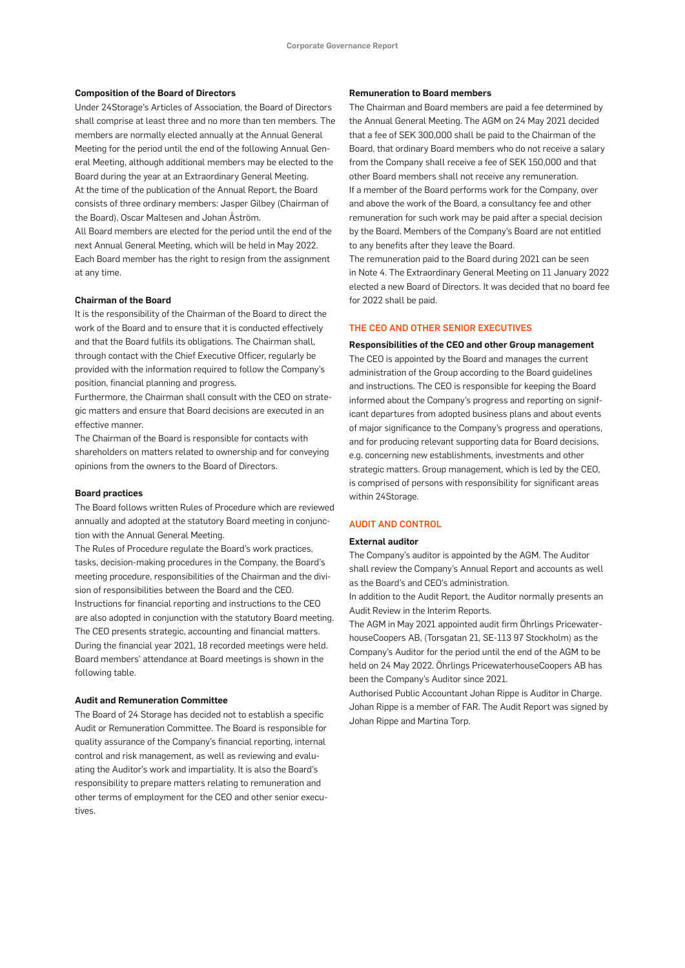#### **Composition of the Board of Directors**

Under 24Storage's Articles of Association, the Board of Directors shall comprise at least three and no more than ten members. The members are normally elected annually at the Annual General Meeting for the period until the end of the following Annual General Meeting, although additional members may be elected to the Board during the year at an Extraordinary General Meeting. At the time of the publication of the Annual Report, the Board consists of three ordinary members: Jasper Gilbey (Chairman of the Board), Oscar Maltesen and Johan Åström.

All Board members are elected for the period until the end of the next Annual General Meeting, which will be held in May 2022. Each Board member has the right to resign from the assignment at any time.

#### **Chairman of the Board**

It is the responsibility of the Chairman of the Board to direct the work of the Board and to ensure that it is conducted effectively and that the Board fulfils its obligations. The Chairman shall, through contact with the Chief Executive Officer, regularly be provided with the information required to follow the Company's position, financial planning and progress.

Furthermore, the Chairman shall consult with the CEO on strategic matters and ensure that Board decisions are executed in an effective manner.

The Chairman of the Board is responsible for contacts with shareholders on matters related to ownership and for conveying opinions from the owners to the Board of Directors.

#### **Board practices**

The Board follows written Rules of Procedure which are reviewed annually and adopted at the statutory Board meeting in conjunction with the Annual General Meeting.

The Rules of Procedure regulate the Board's work practices, tasks, decision-making procedures in the Company, the Board's meeting procedure, responsibilities of the Chairman and the division of responsibilities between the Board and the CEO. Instructions for financial reporting and instructions to the CEO are also adopted in conjunction with the statutory Board meeting. The CEO presents strategic, accounting and financial matters. During the financial year 2021, 18 recorded meetings were held. Board members' attendance at Board meetings is shown in the following table.

#### **Audit and Remuneration Committee**

The Board of 24 Storage has decided not to establish a specific Audit or Remuneration Committee. The Board is responsible for quality assurance of the Company's financial reporting, internal control and risk management, as well as reviewing and evaluating the Auditor's work and impartiality. It is also the Board's responsibility to prepare matters relating to remuneration and other terms of employment for the CEO and other senior executives.

#### **Remuneration to Board members**

The Chairman and Board members are paid a fee determined by the Annual General Meeting. The AGM on 24 May 2021 decided that a fee of SEK 300,000 shall be paid to the Chairman of the Board, that ordinary Board members who do not receive a salary from the Company shall receive a fee of SEK 150,000 and that other Board members shall not receive any remuneration. If a member of the Board performs work for the Company, over and above the work of the Board, a consultancy fee and other remuneration for such work may be paid after a special decision by the Board. Members of the Company's Board are not entitled to any benefits after they leave the Board.

The remuneration paid to the Board during 2021 can be seen in Note 4. The Extraordinary General Meeting on 11 January 2022 elected a new Board of Directors. It was decided that no board fee for 2022 shall be paid.

#### THE CEO AND OTHER SENIOR EXECUTIVES

#### **Responsibilities of the CEO and other Group management**

The CEO is appointed by the Board and manages the current administration of the Group according to the Board guidelines and instructions. The CEO is responsible for keeping the Board informed about the Company's progress and reporting on significant departures from adopted business plans and about events of major significance to the Company's progress and operations, and for producing relevant supporting data for Board decisions, e.g. concerning new establishments, investments and other strategic matters. Group management, which is led by the CEO, is comprised of persons with responsibility for significant areas within 24Storage.

#### AUDIT AND CONTROL

#### **External auditor**

The Company's auditor is appointed by the AGM. The Auditor shall review the Company's Annual Report and accounts as well as the Board's and CEO's administration.

In addition to the Audit Report, the Auditor normally presents an Audit Review in the Interim Reports.

The AGM in May 2021 appointed audit firm Öhrlings PricewaterhouseCoopers AB, (Torsgatan 21, SE-113 97 Stockholm) as the Company's Auditor for the period until the end of the AGM to be held on 24 May 2022. Öhrlings PricewaterhouseCoopers AB has been the Company's Auditor since 2021.

Authorised Public Accountant Johan Rippe is Auditor in Charge. Johan Rippe is a member of FAR. The Audit Report was signed by Johan Rippe and Martina Torp.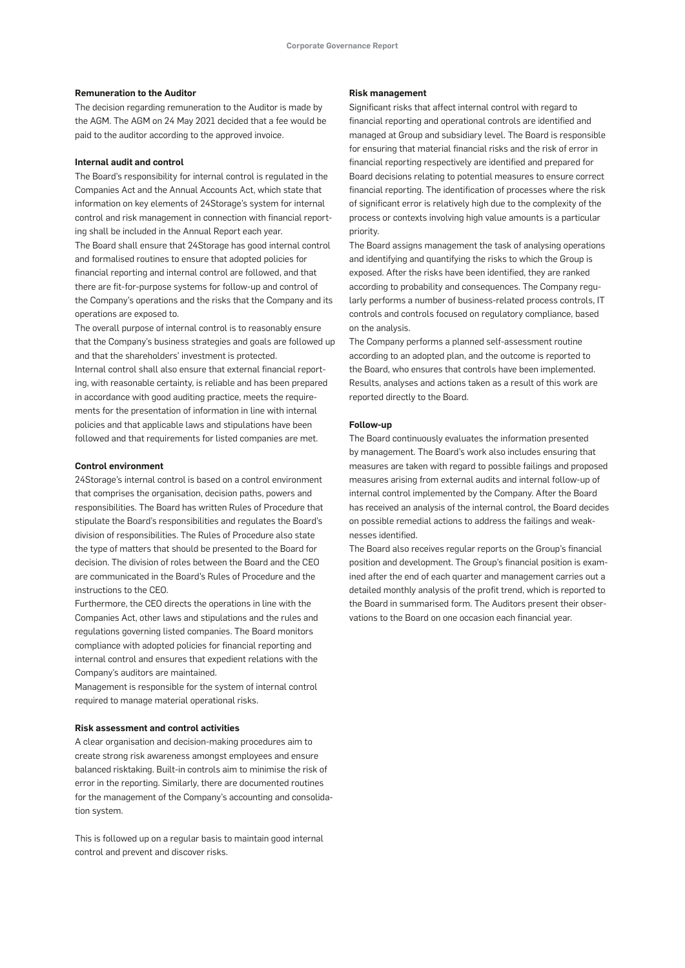#### **Remuneration to the Auditor**

The decision regarding remuneration to the Auditor is made by the AGM. The AGM on 24 May 2021 decided that a fee would be paid to the auditor according to the approved invoice.

#### **Internal audit and control**

The Board's responsibility for internal control is regulated in the Companies Act and the Annual Accounts Act, which state that information on key elements of 24Storage's system for internal control and risk management in connection with financial reporting shall be included in the Annual Report each year. The Board shall ensure that 24Storage has good internal control and formalised routines to ensure that adopted policies for financial reporting and internal control are followed, and that there are fit-for-purpose systems for follow-up and control of

the Company's operations and the risks that the Company and its operations are exposed to.

The overall purpose of internal control is to reasonably ensure that the Company's business strategies and goals are followed up and that the shareholders' investment is protected. Internal control shall also ensure that external financial reporting, with reasonable certainty, is reliable and has been prepared in accordance with good auditing practice, meets the requirements for the presentation of information in line with internal policies and that applicable laws and stipulations have been followed and that requirements for listed companies are met.

#### **Control environment**

24Storage's internal control is based on a control environment that comprises the organisation, decision paths, powers and responsibilities. The Board has written Rules of Procedure that stipulate the Board's responsibilities and regulates the Board's division of responsibilities. The Rules of Procedure also state the type of matters that should be presented to the Board for decision. The division of roles between the Board and the CEO are communicated in the Board's Rules of Procedure and the instructions to the CEO.

Furthermore, the CEO directs the operations in line with the Companies Act, other laws and stipulations and the rules and regulations governing listed companies. The Board monitors compliance with adopted policies for financial reporting and internal control and ensures that expedient relations with the Company's auditors are maintained.

Management is responsible for the system of internal control required to manage material operational risks.

#### **Risk assessment and control activities**

A clear organisation and decision-making procedures aim to create strong risk awareness amongst employees and ensure balanced risktaking. Built-in controls aim to minimise the risk of error in the reporting. Similarly, there are documented routines for the management of the Company's accounting and consolidation system.

This is followed up on a regular basis to maintain good internal control and prevent and discover risks.

#### **Risk management**

Significant risks that affect internal control with regard to financial reporting and operational controls are identified and managed at Group and subsidiary level. The Board is responsible for ensuring that material financial risks and the risk of error in financial reporting respectively are identified and prepared for Board decisions relating to potential measures to ensure correct financial reporting. The identification of processes where the risk of significant error is relatively high due to the complexity of the process or contexts involving high value amounts is a particular priority.

The Board assigns management the task of analysing operations and identifying and quantifying the risks to which the Group is exposed. After the risks have been identified, they are ranked according to probability and consequences. The Company regularly performs a number of business-related process controls, IT controls and controls focused on regulatory compliance, based on the analysis.

The Company performs a planned self-assessment routine according to an adopted plan, and the outcome is reported to the Board, who ensures that controls have been implemented. Results, analyses and actions taken as a result of this work are reported directly to the Board.

#### **Follow-up**

The Board continuously evaluates the information presented by management. The Board's work also includes ensuring that measures are taken with regard to possible failings and proposed measures arising from external audits and internal follow-up of internal control implemented by the Company. After the Board has received an analysis of the internal control, the Board decides on possible remedial actions to address the failings and weaknesses identified.

The Board also receives regular reports on the Group's financial position and development. The Group's financial position is examined after the end of each quarter and management carries out a detailed monthly analysis of the profit trend, which is reported to the Board in summarised form. The Auditors present their observations to the Board on one occasion each financial year.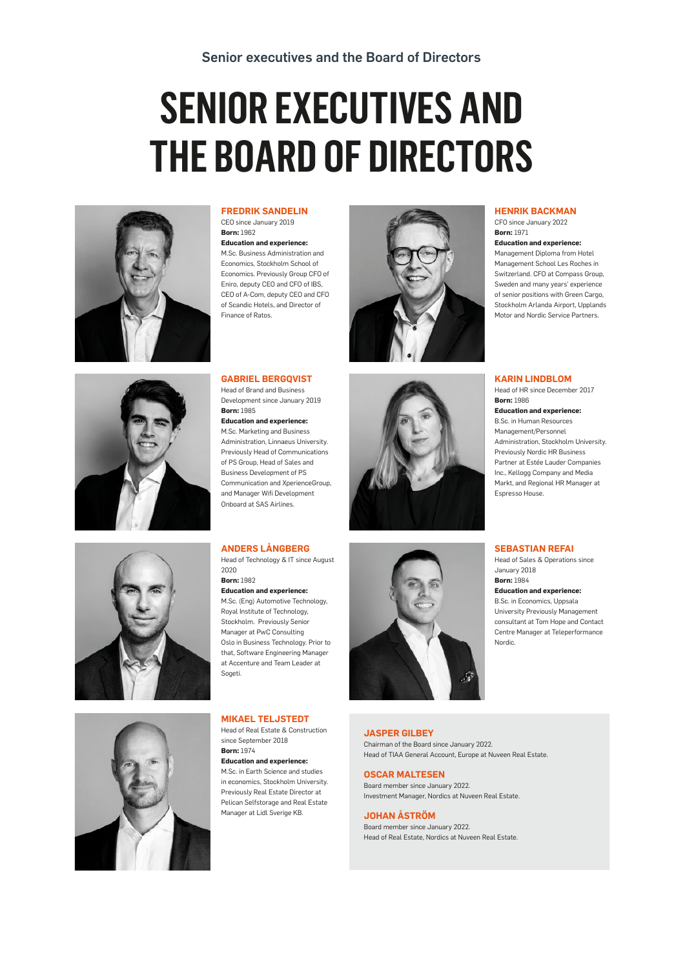# **SENIOR EXECUTIVES AND THE BOARD OF DIRECTORS**





**Born:** 1962 **Education and experience:** M.Sc. Business Administration and Economics, Stockholm School of Economics. Previously Group CFO of Eniro, deputy CEO and CFO of IBS, CEO of A-Com, deputy CEO and CFO of Scandic Hotels, and Director of



#### **GABRIEL BERGQVIST**

Finance of Ratos.

Head of Brand and Business Development since January 2019 **Born:** 1985 **Education and experience:** M.Sc. Marketing and Business Administration, Linnaeus University. Previously Head of Communications of PS Group, Head of Sales and Business Development of PS Communication and XperienceGroup, and Manager Wifi Development Onboard at SAS Airlines.

#### **ANDERS LÅNGBERG**

Head of Technology & IT since August  $2020$ **Born:** 1982 **Education and experience:** M.Sc. (Eng) Automotive Technology, Royal Institute of Technology, Stockholm. Previously Senior Manager at PwC Consulting Oslo in Business Technology. Prior to that, Software Engineering Manager at Accenture and Team Leader at Sogeti.

#### **MIKAEL TELJSTEDT**

Head of Real Estate & Construction since September 2018 **Born:** 1974

**Education and experience:**

M.Sc. in Earth Science and studies in economics, Stockholm University. Previously Real Estate Director at Pelican Selfstorage and Real Estate Manager at Lidl Sverige KB.

### **HENRIK BACKMAN**

CFO since January 2022 **Born:** 1971

**Education and experience:**

Management Diploma from Hotel Management School Les Roches in Switzerland. CFO at Compass Group, Sweden and many years' experience of senior positions with Green Cargo, Stockholm Arlanda Airport, Upplands Motor and Nordic Service Partners.

#### **KARIN LINDBLOM**

Head of HR since December 2017 **Born:** 1986

**Education and experience:** B.Sc. in Human Resources Management/Personnel Administration, Stockholm University. Previously Nordic HR Business Partner at Estée Lauder Companies Inc., Kellogg Company and Media Markt, and Regional HR Manager at Espresso House.

#### **SEBASTIAN REFAI**

Head of Sales & Operations since January 2018 **Born:** 1984

**Education and experience:**

B.Sc. in Economics, Uppsala University Previously Management consultant at Tom Hope and Contact Centre Manager at Teleperformance Nordic.



#### **JASPER GILBEY** Chairman of the Board since January 2022.

Head of TIAA General Account, Europe at Nuveen Real Estate.

#### **OSCAR MALTESEN**

Board member since January 2022. Investment Manager, Nordics at Nuveen Real Estate.

#### **JOHAN ÅSTRÖM**

Board member since January 2022. Head of Real Estate, Nordics at Nuveen Real Estate.